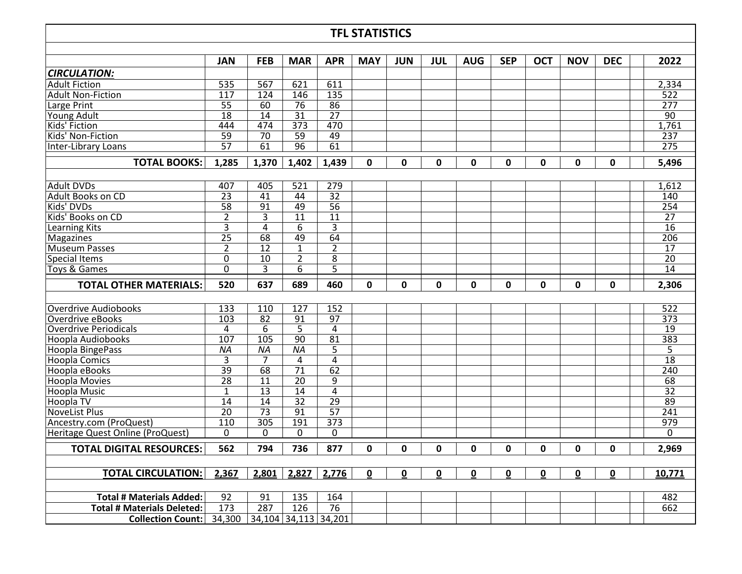## **TFL STATISTICS**

|                                   | JAN             | <b>FEB</b>           | <b>MAR</b>       | <b>APR</b>      | <b>MAY</b> | <b>JUN</b> | JUL | <b>AUG</b> | <b>SEP</b> | OCT         | <b>NOV</b>  | <b>DEC</b> | 2022             |
|-----------------------------------|-----------------|----------------------|------------------|-----------------|------------|------------|-----|------------|------------|-------------|-------------|------------|------------------|
| <b>CIRCULATION:</b>               |                 |                      |                  |                 |            |            |     |            |            |             |             |            |                  |
| <b>Adult Fiction</b>              | 535             | 567                  | 621              | 611             |            |            |     |            |            |             |             |            | 2,334            |
| Adult Non-Fiction                 | 117             | 124                  | 146              | 135             |            |            |     |            |            |             |             |            | 522              |
| Large Print                       | $\overline{55}$ | 60                   | 76               | 86              |            |            |     |            |            |             |             |            | 277              |
| Young Adult                       | $\overline{18}$ | 14                   | 31               | $\overline{27}$ |            |            |     |            |            |             |             |            | $\overline{90}$  |
| Kids' Fiction                     | 444             | 474                  | $\overline{373}$ | 470             |            |            |     |            |            |             |             |            | 1,761            |
| Kids' Non-Fiction                 | 59              | $\overline{70}$      | 59               | 49              |            |            |     |            |            |             |             |            | 237              |
| Inter-Library Loans               | $\overline{57}$ | 61                   | 96               | 61              |            |            |     |            |            |             |             |            | $\overline{275}$ |
| <b>TOTAL BOOKS:</b>               | 1,285           | 1,370                | 1,402            | 1,439           | 0          | 0          | 0   | 0          | 0          | 0           | 0           | 0          | 5,496            |
|                                   |                 |                      |                  |                 |            |            |     |            |            |             |             |            |                  |
| <b>Adult DVDs</b>                 | 407             | 405                  | 521              | 279             |            |            |     |            |            |             |             |            | 1,612            |
| Adult Books on CD                 | $\overline{23}$ | 41                   | 44               | $\overline{32}$ |            |            |     |            |            |             |             |            | 140              |
| Kids' DVDs                        | $\overline{58}$ | 91                   | 49               | $\overline{56}$ |            |            |     |            |            |             |             |            | 254              |
| Kids' Books on CD                 | $\overline{2}$  | $\overline{3}$       | 11               | $\overline{11}$ |            |            |     |            |            |             |             |            | $\overline{27}$  |
| Learning Kits                     | 3               | $\overline{4}$       | 6                | 3               |            |            |     |            |            |             |             |            | $\overline{16}$  |
| Magazines                         | $\overline{25}$ | 68                   | 49               | 64              |            |            |     |            |            |             |             |            | 206              |
| Museum Passes                     | $\overline{2}$  | $\overline{12}$      | $\mathbf{1}$     | $\overline{2}$  |            |            |     |            |            |             |             |            | $\overline{17}$  |
| <b>Special Items</b>              | 0               | 10                   | $\overline{2}$   | 8               |            |            |     |            |            |             |             |            | 20               |
| Toys & Games                      | $\Omega$        | 3                    | 6                | 5               |            |            |     |            |            |             |             |            | 14               |
| <b>TOTAL OTHER MATERIALS:</b>     | 520             | 637                  | 689              | 460             | 0          | 0          | 0   | 0          | 0          | 0           | 0           | 0          | 2,306            |
|                                   |                 |                      |                  |                 |            |            |     |            |            |             |             |            |                  |
| Overdrive Audiobooks              | 133             | 110                  | 127              | 152             |            |            |     |            |            |             |             |            | 522              |
| Overdrive eBooks                  | 103             | 82                   | 91               | 97              |            |            |     |            |            |             |             |            | 373              |
| <b>Overdrive Periodicals</b>      | 4               | 6                    | 5                | 4               |            |            |     |            |            |             |             |            | 19               |
| <b>Hoopla Audiobooks</b>          | 107             | 105                  | $\overline{90}$  | $\overline{81}$ |            |            |     |            |            |             |             |            | 383              |
| Hoopla BingePass                  | ΝA              | ΝA                   | <b>NA</b>        | 5               |            |            |     |            |            |             |             |            | 5                |
| <b>Hoopla Comics</b>              | $\overline{3}$  | 7                    | 4                | $\overline{4}$  |            |            |     |            |            |             |             |            | $\overline{18}$  |
| Hoopla eBooks                     | $\overline{39}$ | 68                   | $\overline{71}$  | 62              |            |            |     |            |            |             |             |            | 240              |
| <b>Hoopla Movies</b>              | 28              | 11                   | $\overline{20}$  | 9               |            |            |     |            |            |             |             |            | 68               |
| Hoopla Music                      | $\mathbf{1}$    | $\overline{13}$      | 14               | $\overline{4}$  |            |            |     |            |            |             |             |            | $\overline{32}$  |
| Hoopla TV                         | 14              | 14                   | 32               | $\overline{29}$ |            |            |     |            |            |             |             |            | 89               |
| <b>NoveList Plus</b>              | $\overline{20}$ | $\overline{73}$      | 91               | $\overline{57}$ |            |            |     |            |            |             |             |            | $\overline{241}$ |
| Ancestry.com (ProQuest)           | 110             | 305                  | 191              | 373             |            |            |     |            |            |             |             |            | 979              |
| Heritage Quest Online (ProQuest)  | $\mathbf{0}$    | $\Omega$             | 0                | 0               |            |            |     |            |            |             |             |            | $\Omega$         |
| <b>TOTAL DIGITAL RESOURCES:</b>   | 562             | 794                  | 736              | 877             | 0          | 0          | 0   | 0          | 0          | $\mathbf 0$ | $\mathbf 0$ | 0          | 2,969            |
|                                   |                 |                      |                  |                 |            |            |     |            |            |             |             |            |                  |
| <b>TOTAL CIRCULATION:</b>         | 2,367           | 2,801                | 2,827            | 2,776           | 0          | 0          | 0   | 0          | 0          | 0           | 0           | 0          | 10,771           |
|                                   |                 |                      |                  |                 |            |            |     |            |            |             |             |            |                  |
| <b>Total # Materials Added:</b>   | 92              | 91                   | 135              | 164             |            |            |     |            |            |             |             |            | 482              |
| <b>Total # Materials Deleted:</b> | 173             | 287                  | 126              | 76              |            |            |     |            |            |             |             |            | 662              |
| <b>Collection Count:</b>          | 34,300          | 34,104 34,113 34,201 |                  |                 |            |            |     |            |            |             |             |            |                  |